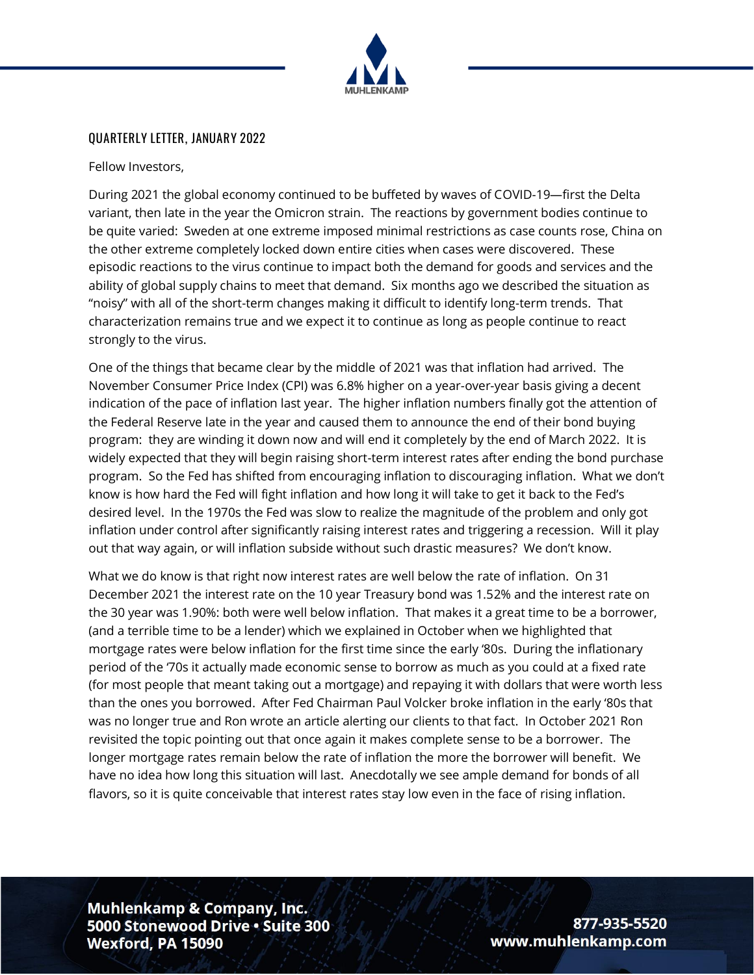

#### **QUARTERLY LETTER, JANUARY 2022**

Fellow Investors,

During 2021 the global economy continued to be buffeted by waves of COVID-19—first the Delta variant, then late in the year the Omicron strain. The reactions by government bodies continue to be quite varied: Sweden at one extreme imposed minimal restrictions as case counts rose, China on the other extreme completely locked down entire cities when cases were discovered. These episodic reactions to the virus continue to impact both the demand for goods and services and the ability of global supply chains to meet that demand. Six months ago we described the situation as "noisy" with all of the short-term changes making it difficult to identify long-term trends. That characterization remains true and we expect it to continue as long as people continue to react strongly to the virus.

One of the things that became clear by the middle of 2021 was that inflation had arrived. The November Consumer Price Index (CPI) was 6.8% higher on a year-over-year basis giving a decent indication of the pace of inflation last year. The higher inflation numbers finally got the attention of the Federal Reserve late in the year and caused them to announce the end of their bond buying program: they are winding it down now and will end it completely by the end of March 2022. It is widely expected that they will begin raising short-term interest rates after ending the bond purchase program. So the Fed has shifted from encouraging inflation to discouraging inflation. What we don't know is how hard the Fed will fight inflation and how long it will take to get it back to the Fed's desired level. In the 1970s the Fed was slow to realize the magnitude of the problem and only got inflation under control after significantly raising interest rates and triggering a recession. Will it play out that way again, or will inflation subside without such drastic measures? We don't know.

What we do know is that right now interest rates are well below the rate of inflation. On 31 December 2021 the interest rate on the 10 year Treasury bond was 1.52% and the interest rate on the 30 year was 1.90%: both were well below inflation. That makes it a great time to be a borrower, (and a terrible time to be a lender) which we explained in October when we highlighted that mortgage rates were below inflation for the first time since the early '80s. During the inflationary period of the '70s it actually made economic sense to borrow as much as you could at a fixed rate (for most people that meant taking out a mortgage) and repaying it with dollars that were worth less than the ones you borrowed. After Fed Chairman Paul Volcker broke inflation in the early '80s that was no longer true and Ron wrote an article alerting our clients to that fact. In October 2021 Ron revisited the topic pointing out that once again it makes complete sense to be a borrower. The longer mortgage rates remain below the rate of inflation the more the borrower will benefit. We have no idea how long this situation will last. Anecdotally we see ample demand for bonds of all flavors, so it is quite conceivable that interest rates stay low even in the face of rising inflation.

**Muhlenkamp & Company, Inc.** 5000 Stonewood Drive . Suite 300 Wexford, PA 15090

877-935-5520 www.muhlenkamp.com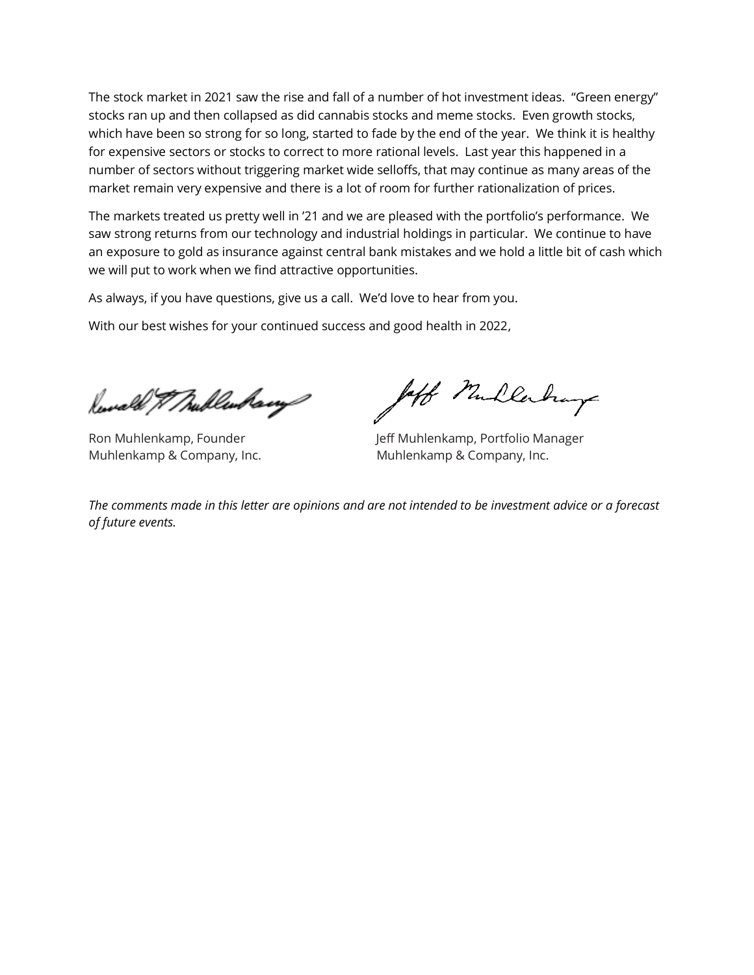The stock market in 2021 saw the rise and fall of a number of hot investment ideas. "Green energy" stocks ran up and then collapsed as did cannabis stocks and meme stocks. Even growth stocks, which have been so strong for so long, started to fade by the end of the year. We think it is healthy for expensive sectors or stocks to correct to more rational levels. Last year this happened in a number of sectors without triggering market wide selloffs, that may continue as many areas of the market remain very expensive and there is a lot of room for further rationalization of prices.

The markets treated us pretty well in '21 and we are pleased with the portfolio's performance. We saw strong returns from our technology and industrial holdings in particular. We continue to have an exposure to gold as insurance against central bank mistakes and we hold a little bit of cash which we will put to work when we find attractive opportunities.

As always, if you have questions, give us a call. We'd love to hear from you.

With our best wishes for your continued success and good health in 2022,

Rewald & Mullenham

loff Mullerburg

Ron Muhlenkamp, Founder **Jeff Muhlenkamp, Portfolio Manager** Muhlenkamp & Company, Inc. Muhlenkamp & Company, Inc.

*The comments made in this letter are opinions and are not intended to be investment advice or a forecast of future events.*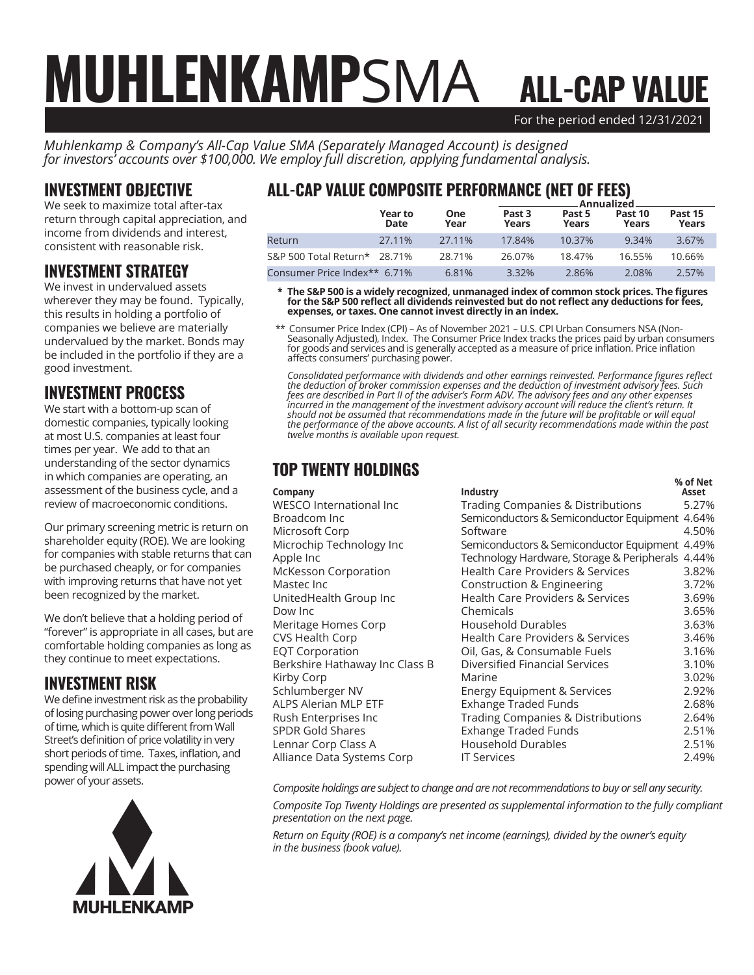# For the period ended 12/31/2021 ALL-CAP VALUE MUHLENKAMPSMA

*Muhlenkamp & Company's All-Cap Value SMA (Separately Managed Account) is designed for investors' accounts over \$100,000. We employ full discretion, applying fundamental analysis.*

### INVESTMENT OBJECTIVE

We seek to maximize total after-tax return through capital appreciation, and income from dividends and interest, consistent with reasonable risk.

#### INVESTMENT STRATEGY

We invest in undervalued assets wherever they may be found. Typically, this results in holding a portfolio of companies we believe are materially undervalued by the market. Bonds may be included in the portfolio if they are a good investment.

### INVESTMENT PROCESS

We start with a bottom-up scan of domestic companies, typically looking at most U.S. companies at least four times per year. We add to that an understanding of the sector dynamics in which companies are operating, an assessment of the business cycle, and a review of macroeconomic conditions.

Our primary screening metric is return on shareholder equity (ROE). We are looking for companies with stable returns that can be purchased cheaply, or for companies with improving returns that have not yet been recognized by the market.

We don't believe that a holding period of "forever" is appropriate in all cases, but are comfortable holding companies as long as they continue to meet expectations.

### INVESTMENT RISK

We define investment risk as the probability of losing purchasing power over long periods of time, which is quite different from Wall Street's definition of price volatility in very short periods of time. Taxes, inflation, and spending will ALL impact the purchasing power of your assets.



## ALL-CAP VALUE COMPOSITE PERFORMANCE (NET OF FEES)

|                              |                 |             | Annualized.                |                 |                  |                  |  |
|------------------------------|-----------------|-------------|----------------------------|-----------------|------------------|------------------|--|
|                              | Year to<br>Date | One<br>Year | Past <sub>3</sub><br>Years | Past 5<br>Years | Past 10<br>Years | Past 15<br>Years |  |
| Return                       | 27.11%          | 27.11%      | 17.84%                     | 10.37%          | 9.34%            | 3.67%            |  |
| S&P 500 Total Return* 28.71% |                 | 28.71%      | 26.07%                     | 18.47%          | 16.55%           | 10.66%           |  |
| Consumer Price Index** 6.71% |                 | 6.81%       | 3.32%                      | 2.86%           | 2.08%            | 2.57%            |  |

 **\* The S&P 500 is a widely recognized, unmanaged index of common stock prices. The figures for the S&P 500 reflect all dividends reinvested but do not reflect any deductions for fees, expenses, or taxes. One cannot invest directly in an index.**

 \*\* Consumer Price Index (CPI) – As of November 2021 – U.S. CPI Urban Consumers NSA (Non-Seasonally Adjusted), Index. The Consumer Price Index tracks the prices paid by urban consumers for goods and services and is generally accepted as a measure of price inflation. Price inflation affects consumers' purchasing power.

*Consolidated performance with dividends and other earnings reinvested. Performance figures reflect the deduction of broker commission expenses and the deduction of investment advisory fees. Such fees are described in Part II of the adviser's Form ADV. The advisory fees and any other expenses incurred in the management of the investment advisory account will reduce the client's return. It should not be assumed that recommendations made in the future will be profitable or will equal the performance of the above accounts. A list of all security recommendations made within the past twelve months is available upon request.*

## TOP TWENTY HOLDINGS

|                                |                                                  | % of Net |
|--------------------------------|--------------------------------------------------|----------|
| Company                        | Industry                                         | Asset    |
| <b>WESCO International Inc</b> | <b>Trading Companies &amp; Distributions</b>     | 5.27%    |
| Broadcom Inc                   | Semiconductors & Semiconductor Equipment 4.64%   |          |
| Microsoft Corp                 | Software                                         | 4.50%    |
| Microchip Technology Inc       | Semiconductors & Semiconductor Equipment 4.49%   |          |
| Apple Inc                      | Technology Hardware, Storage & Peripherals 4.44% |          |
| McKesson Corporation           | <b>Health Care Providers &amp; Services</b>      | 3.82%    |
| Mastec Inc                     | Construction & Engineering                       | 3.72%    |
| UnitedHealth Group Inc         | <b>Health Care Providers &amp; Services</b>      | 3.69%    |
| Dow Inc                        | Chemicals                                        | 3.65%    |
| Meritage Homes Corp            | <b>Household Durables</b>                        | 3.63%    |
| <b>CVS Health Corp</b>         | <b>Health Care Providers &amp; Services</b>      | 3.46%    |
| <b>EQT Corporation</b>         | Oil, Gas, & Consumable Fuels                     | 3.16%    |
| Berkshire Hathaway Inc Class B | <b>Diversified Financial Services</b>            | 3.10%    |
| Kirby Corp                     | Marine                                           | 3.02%    |
| Schlumberger NV                | Energy Equipment & Services                      | 2.92%    |
| ALPS Alerian MLP ETF           | Exhange Traded Funds                             | 2.68%    |
| Rush Enterprises Inc           | <b>Trading Companies &amp; Distributions</b>     | 2.64%    |
| <b>SPDR Gold Shares</b>        | <b>Exhange Traded Funds</b>                      | 2.51%    |
| Lennar Corp Class A            | <b>Household Durables</b>                        | 2.51%    |
| Alliance Data Systems Corp     | <b>IT Services</b>                               | 2.49%    |
|                                |                                                  |          |

*Composite holdings are subject to change and are not recommendations to buy or sell any security.*

*Composite Top Twenty Holdings are presented as supplemental information to the fully compliant presentation on the next page.*

*Return on Equity (ROE) is a company's net income (earnings), divided by the owner's equity in the business (book value).*